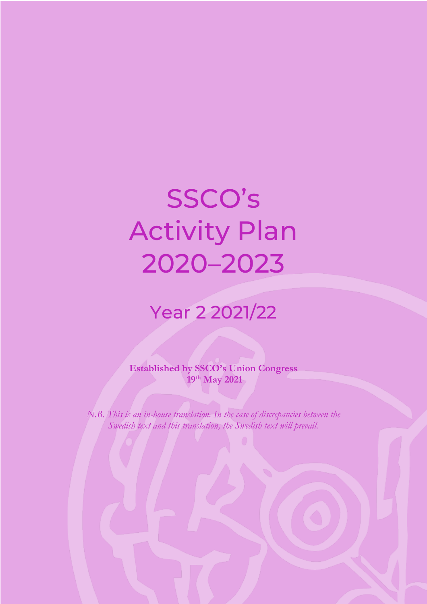# SSCO's Activity Plan 2020–2023

### Year 2 2021/22

**Established by SSCO's Union Congress 19th May 2021**

*N.B. This is an in-house translation. In the case of discrepancies between the Swedish text and this translation, the Swedish text will prevail.*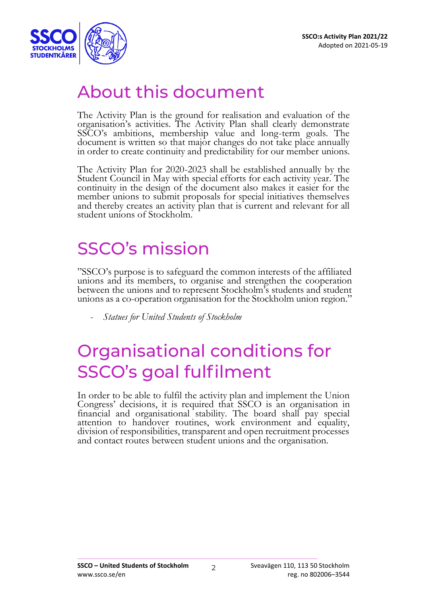

### About this document

The Activity Plan is the ground for realisation and evaluation of the organisation's activities. The Activity Plan shall clearly demonstrate SSCO's ambitions, membership value and long-term goals. The document is written so that major changes do not take place annually in order to create continuity and predictability for our member unions.

The Activity Plan for 2020-2023 shall be established annually by the Student Council in May with special efforts for each activity year. The continuity in the design of the document also makes it easier for the member unions to submit proposals for special initiatives themselves and thereby creates an activity plan that is current and relevant for all student unions of Stockholm.

# SSCO's mission

"SSCO's purpose is to safeguard the common interests of the affiliated unions and its members, to organise and strengthen the cooperation between the unions and to represent Stockholm's students and student unions as a co-operation organisation for the Stockholm union region."

- *Statues for United Students of Stockholm*

# Organisational conditions for SSCO's goal fulfilment

In order to be able to fulfil the activity plan and implement the Union Congress' decisions, it is required that SSCO is an organisation in financial and organisational stability. The board shall pay special attention to handover routines, work environment and equality, division of responsibilities, transparent and open recruitment processes and contact routes between student unions and the organisation.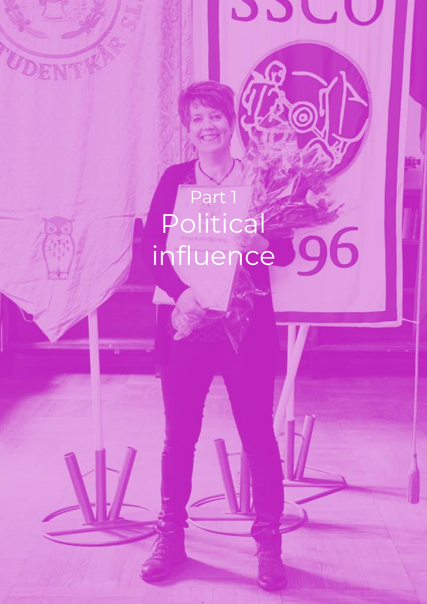# Part 1 Political 96 influence

UDENTY

Adopted on 2021-05-19

**DDU** 

 $\mathcal{L} = \{ \mathcal{L} \mid \mathcal{L} \in \mathcal{L} \}$  , where  $\mathcal{L} = \{ \mathcal{L} \mid \mathcal{L} \in \mathcal{L} \}$ 

**SSCO – United Students of Stockholm** Sveavägen 110, 113 50 Stockholm www.ssco.se/en reg. no 802006–3544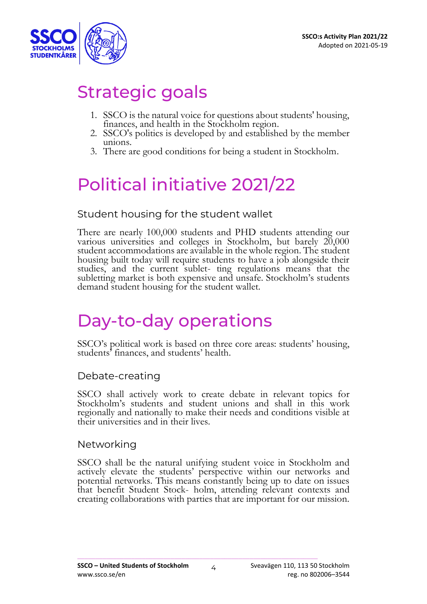

# Strategic goals

- 1. SSCO is the natural voice for questions about students' housing, finances, and health in the Stockholm region.
- 2. SSCO's politics is developed by and established by the member unions.
- 3. There are good conditions for being a student in Stockholm.

# Political initiative 2021/22

### Student housing for the student wallet

There are nearly 100,000 students and PHD students attending our various universities and colleges in Stockholm, but barely 20,000 student accommodations are available in the whole region. The student housing built today will require students to have a job alongside their studies, and the current sublet- ting regulations means that the subletting market is both expensive and unsafe. Stockholm's students demand student housing for the student wallet.

### Day-to-day operations

SSCO's political work is based on three core areas: students' housing, students' finances, and students' health.

#### Debate-creating

SSCO shall actively work to create debate in relevant topics for Stockholm's students and student unions and shall in this work regionally and nationally to make their needs and conditions visible at their universities and in their lives.

#### Networking

SSCO shall be the natural unifying student voice in Stockholm and actively elevate the students' perspective within our networks and potential networks. This means constantly being up to date on issues that benefit Student Stock- holm, attending relevant contexts and creating collaborations with parties that are important for our mission.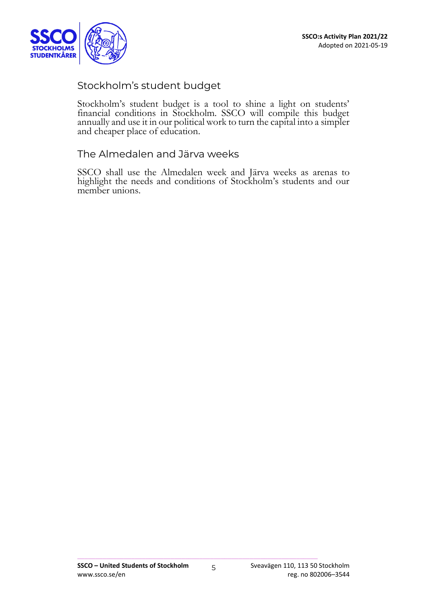

### Stockholm's student budget

Stockholm's student budget is a tool to shine a light on students' financial conditions in Stockholm. SSCO will compile this budget annually and use it in our political work to turn the capital into a simpler and cheaper place of education.

#### The Almedalen and Järva weeks

SSCO shall use the Almedalen week and Järva weeks as arenas to highlight the needs and conditions of Stockholm's students and our member unions.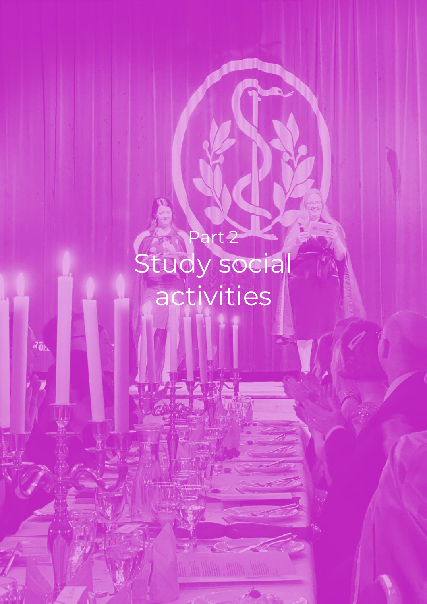Part 2 Study social activities

 $\vec{A}$ Ölta

**SSCO:s Activity Plan 2021/22** Adopted on 2021-05-19

 $\mathcal{L}^{\mathcal{L}}$  , and the simple  $\mathcal{L}^{\mathcal{L}}$ 

**PRAIN** 

**SSCO <b>A UNITED STUDENTS of Stockholm** Studies 110, 113 50 Stockholm where  $\mathcal{L}_{\text{max}}$  is  $\mathcal{L}_{\text{max}}$  and  $\mathcal{L}_{\text{max}}$  and  $\mathcal{L}_{\text{max}}$  and  $\mathcal{L}_{\text{max}}$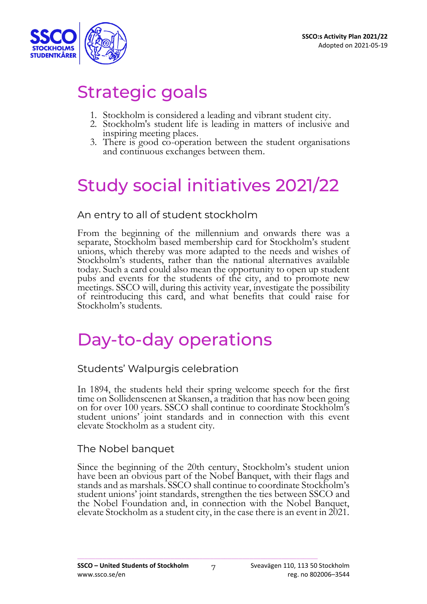

# Strategic goals

- 1. Stockholm is considered a leading and vibrant student city.
- 2. Stockholm's student life is leading in matters of inclusive and inspiring meeting places.
- 3. There is good co-operation between the student organisations and continuous exchanges between them.

# Study social initiatives 2021/22

### An entry to all of student stockholm

From the beginning of the millennium and onwards there was a separate, Stockholm based membership card for Stockholm's student unions, which thereby was more adapted to the needs and wishes of Stockholm's students, rather than the national alternatives available today. Such a card could also mean the opportunity to open up student pubs and events for the students of the city, and to promote new meetings. SSCO will, during this activity year, investigate the possibility of reintroducing this card, and what benefits that could raise for Stockholm's students.

### Day-to-day operations

#### Students' Walpurgis celebration

In 1894, the students held their spring welcome speech for the first time on Sollidenscenen at Skansen, a tradition that has now been going on for over 100 years. SSCO shall continue to coordinate Stockholm's student unions' joint standards and in connection with this event elevate Stockholm as a student city.

#### The Nobel banquet

Since the beginning of the 20th century, Stockholm's student union have been an obvious part of the Nobel Banquet, with their flags and stands and as marshals. SSCO shall continue to coordinate Stockholm's student unions' joint standards, strengthen the ties between SSCO and the Nobel Foundation and, in connection with the Nobel Banquet, elevate Stockholm as a student city, in the case there is an event in 2021.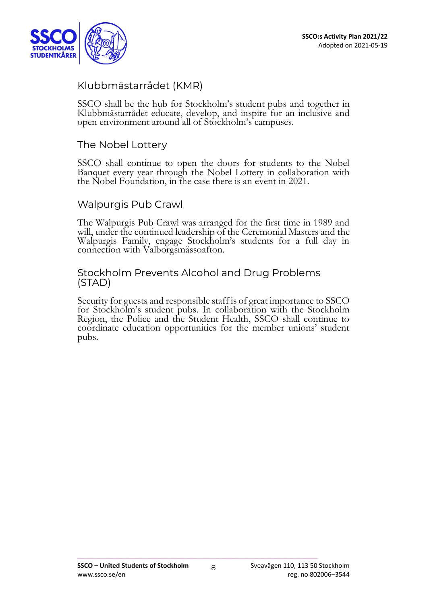

### Klubbmästarrådet (KMR)

SSCO shall be the hub for Stockholm's student pubs and together in Klubbmästarrådet educate, develop, and inspire for an inclusive and open environment around all of Stockholm's campuses.

#### The Nobel Lottery

SSCO shall continue to open the doors for students to the Nobel Banquet every year through the Nobel Lottery in collaboration with the Nobel Foundation, in the case there is an event in 2021.

#### Walpurgis Pub Crawl

The Walpurgis Pub Crawl was arranged for the first time in 1989 and will, under the continued leadership of the Ceremonial Masters and the Walpurgis Family, engage Stockholm's students for a full day in connection with Valborgsmässoafton.

#### Stockholm Prevents Alcohol and Drug Problems (STAD)

Security for guests and responsible staff is of great importance to SSCO for Stockholm's student pubs. In collaboration with the Stockholm Region, the Police and the Student Health, SSCO shall continue to coordinate education opportunities for the member unions' student pubs.

8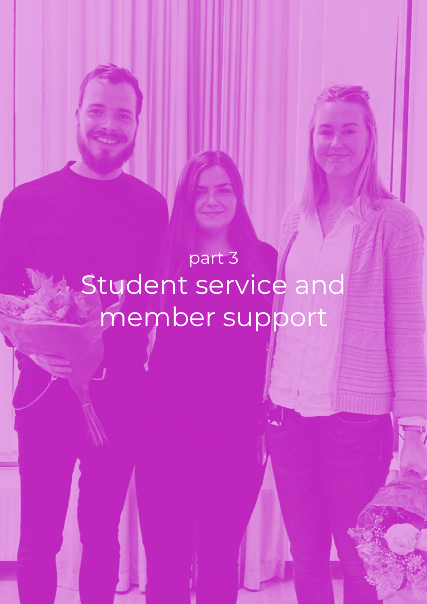part 3 Student service and member support

\_\_\_\_\_\_\_\_\_\_\_\_\_\_\_\_\_\_\_\_\_\_\_\_\_\_\_\_\_\_\_\_\_\_\_\_\_\_\_\_\_\_\_\_\_\_\_\_\_\_\_\_\_\_\_\_\_\_\_\_\_\_\_\_\_\_\_

**SSCO – United Students of Stockholm** Sveavägen 110, 113 50 Stockholm www.ssco.se/en reg. no 802006–3544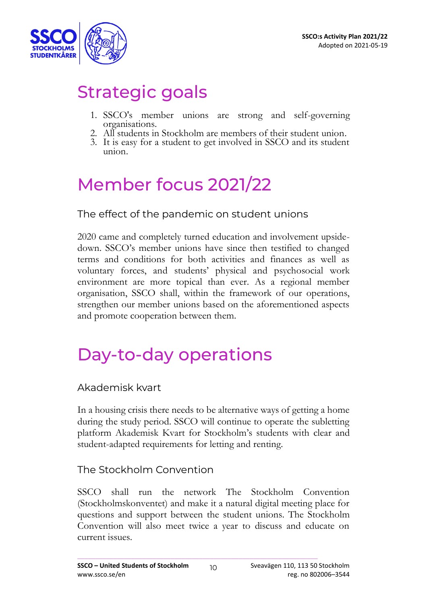

# Strategic goals

- 1. SSCO's member unions are strong and self-governing organisations.
- 2. All students in Stockholm are members of their student union.
- 3. It is easy for a student to get involved in SSCO and its student union.

# Member focus 2021/22

The effect of the pandemic on student unions

2020 came and completely turned education and involvement upsidedown. SSCO's member unions have since then testified to changed terms and conditions for both activities and finances as well as voluntary forces, and students' physical and psychosocial work environment are more topical than ever. As a regional member organisation, SSCO shall, within the framework of our operations, strengthen our member unions based on the aforementioned aspects and promote cooperation between them.

# Day-to-day operations

Akademisk kvart

In a housing crisis there needs to be alternative ways of getting a home during the study period. SSCO will continue to operate the subletting platform Akademisk Kvart for Stockholm's students with clear and student-adapted requirements for letting and renting.

### The Stockholm Convention

SSCO shall run the network The Stockholm Convention (Stockholmskonventet) and make it a natural digital meeting place for questions and support between the student unions. The Stockholm Convention will also meet twice a year to discuss and educate on current issues.